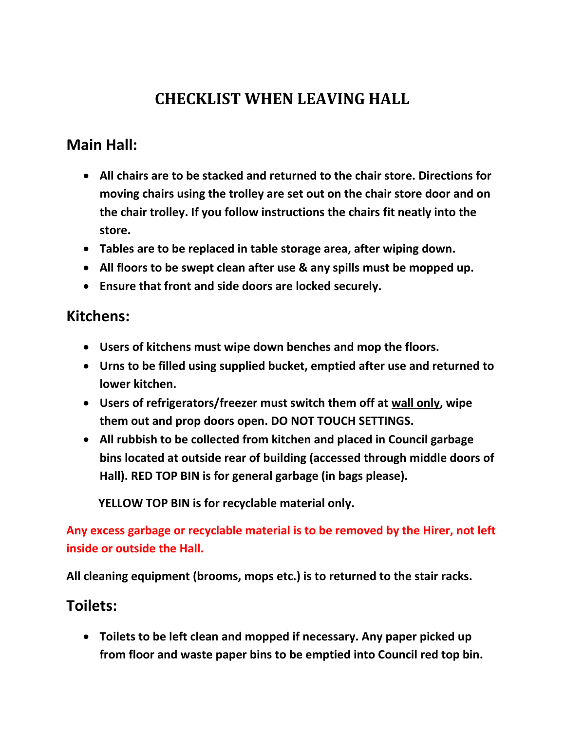# **CHECKLIST WHEN LEAVING HALL**

## **Main Hall:**

- **All chairs are to be stacked and returned to the chair store. Directions for moving chairs using the trolley are set out on the chair store door and on the chair trolley. If you follow instructions the chairs fit neatly into the store.**
- **Tables are to be replaced in table storage area, after wiping down.**
- **All floors to be swept clean after use & any spills must be mopped up.**
- **Ensure that front and side doors are locked securely.**

### **Kitchens:**

- **Users of kitchens must wipe down benches and mop the floors.**
- **Urns to be filled using supplied bucket, emptied after use and returned to lower kitchen.**
- **Users of refrigerators/freezer must switch them off at wall only, wipe them out and prop doors open. DO NOT TOUCH SETTINGS.**
- **All rubbish to be collected from kitchen and placed in Council garbage bins located at outside rear of building (accessed through middle doors of Hall). RED TOP BIN is for general garbage (in bags please).**

 **YELLOW TOP BIN is for recyclable material only.**

**Any excess garbage or recyclable material is to be removed by the Hirer, not left inside or outside the Hall.**

**All cleaning equipment (brooms, mops etc.) is to returned to the stair racks.**

### **Toilets:**

• **Toilets to be left clean and mopped if necessary. Any paper picked up from floor and waste paper bins to be emptied into Council red top bin.**